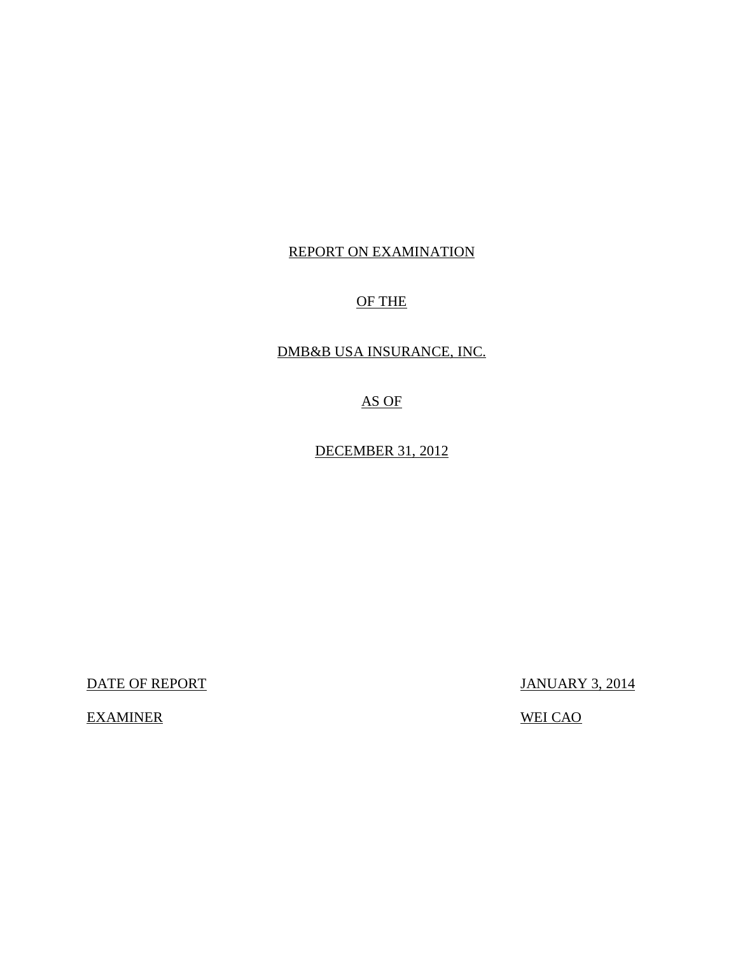# REPORT ON EXAMINATION

# OF THE

# DMB&B USA INSURANCE, INC.

AS OF

DECEMBER 31, 2012

DATE OF REPORT JANUARY 3, 2014

EXAMINER WEI CAO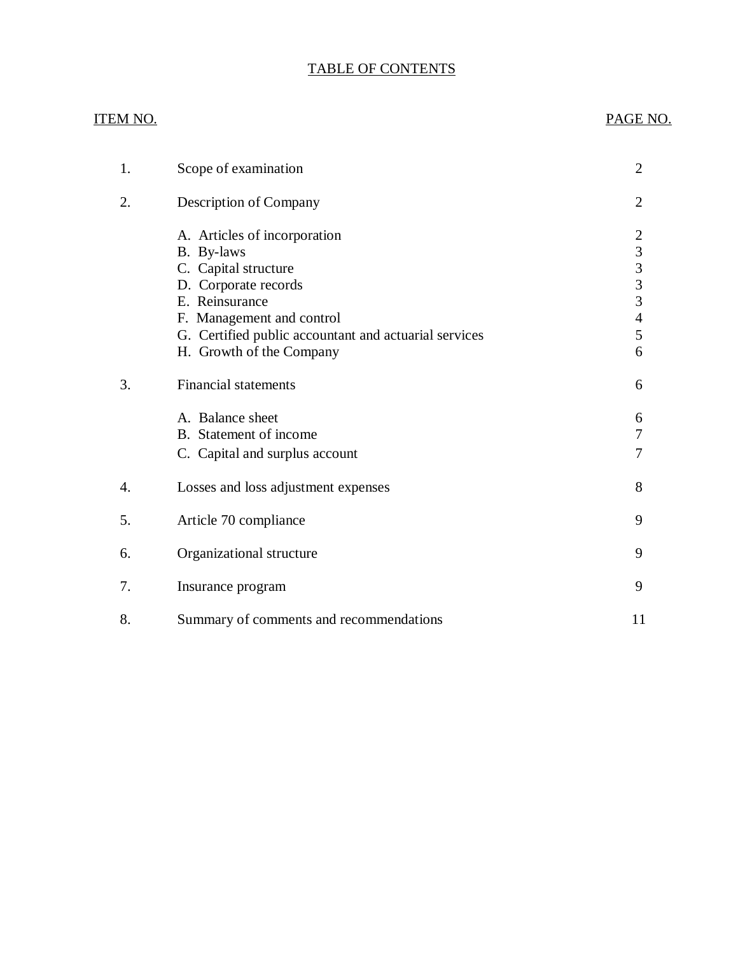# TABLE OF CONTENTS

# ITEM NO. PAGE NO.

| 1. | Scope of examination                                                                                                                      | 2                                                                        |
|----|-------------------------------------------------------------------------------------------------------------------------------------------|--------------------------------------------------------------------------|
| 2. | Description of Company                                                                                                                    | 2                                                                        |
|    | A. Articles of incorporation<br>B. By-laws<br>C. Capital structure<br>D. Corporate records<br>E. Reinsurance<br>F. Management and control | $\overline{c}$<br>$\mathfrak{Z}$<br>$\frac{3}{3}$<br>3<br>$\overline{4}$ |
|    | G. Certified public accountant and actuarial services                                                                                     | 5                                                                        |
|    | H. Growth of the Company                                                                                                                  | 6                                                                        |
| 3. | <b>Financial statements</b>                                                                                                               | 6                                                                        |
|    | A. Balance sheet<br>B. Statement of income<br>C. Capital and surplus account                                                              | 6<br>7<br>7                                                              |
| 4. | Losses and loss adjustment expenses                                                                                                       | 8                                                                        |
| 5. | Article 70 compliance                                                                                                                     | 9                                                                        |
| 6. | Organizational structure                                                                                                                  | 9                                                                        |
| 7. | Insurance program                                                                                                                         | 9                                                                        |
| 8. | Summary of comments and recommendations                                                                                                   | 11                                                                       |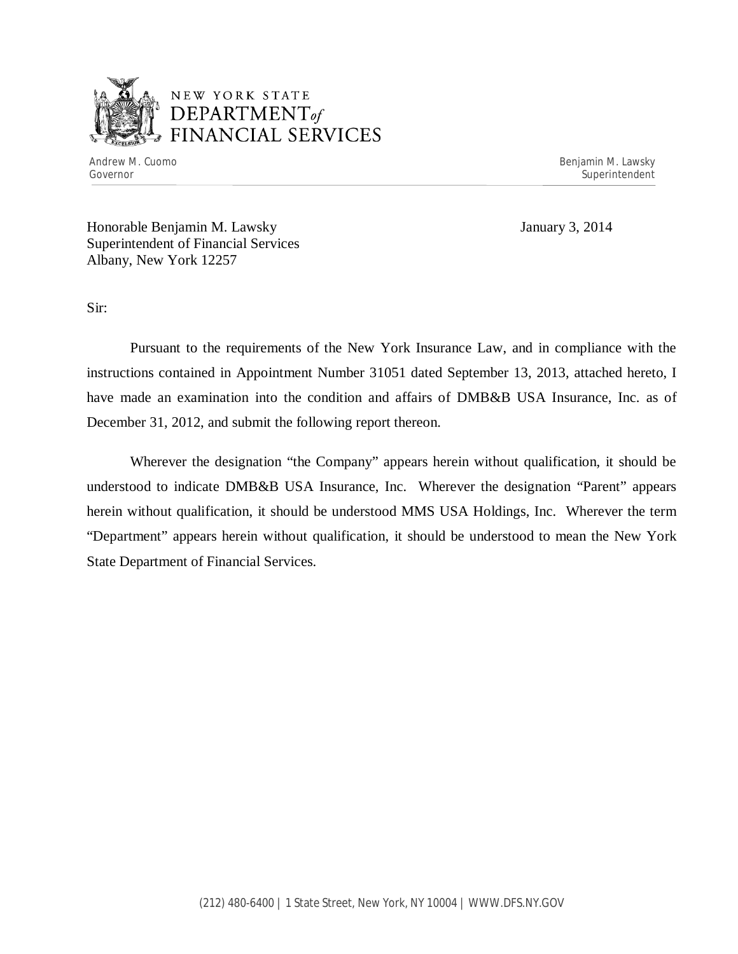

# NEW YORK STATE *DEPARTMENTof*  FINANCIAL SERVICES

Andrew M. Cuomo **Benjamin M. Lawsky** Governor Superintendent Superintendent Superintendent Superintendent Superintendent Superintendent Superintendent

Honorable Benjamin M. Lawsky January 3, 2014 Superintendent of Financial Services Albany, New York 12257

Sir:

Pursuant to the requirements of the New York Insurance Law, and in compliance with the instructions contained in Appointment Number 31051 dated September 13, 2013, attached hereto, I have made an examination into the condition and affairs of DMB&B USA Insurance, Inc. as of December 31, 2012, and submit the following report thereon.

Wherever the designation "the Company" appears herein without qualification, it should be understood to indicate DMB&B USA Insurance, Inc. Wherever the designation "Parent" appears herein without qualification, it should be understood MMS USA Holdings, Inc. Wherever the term "Department" appears herein without qualification, it should be understood to mean the New York State Department of Financial Services.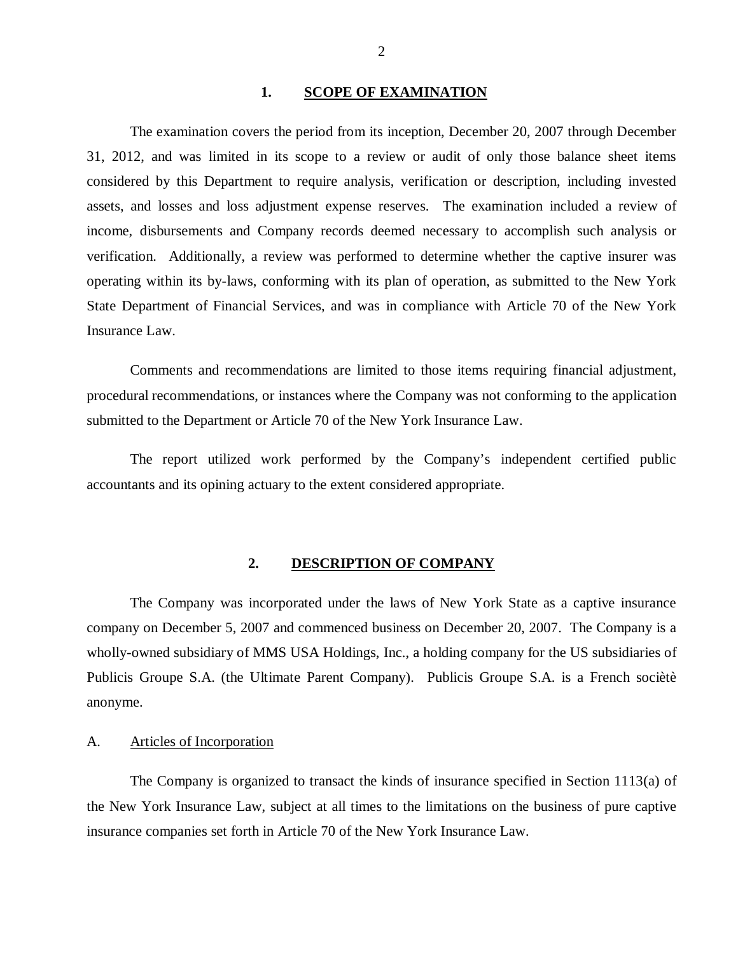#### 1. SCOPE OF EXAMINATION

<span id="page-3-0"></span>The examination covers the period from its inception, December 20, 2007 through December 31, 2012, and was limited in its scope to a review or audit of only those balance sheet items considered by this Department to require analysis, verification or description, including invested assets, and losses and loss adjustment expense reserves. The examination included a review of income, disbursements and Company records deemed necessary to accomplish such analysis or verification. Additionally, a review was performed to determine whether the captive insurer was operating within its by-laws, conforming with its plan of operation, as submitted to the New York State Department of Financial Services, and was in compliance with Article 70 of the New York Insurance Law.

Comments and recommendations are limited to those items requiring financial adjustment, procedural recommendations, or instances where the Company was not conforming to the application submitted to the Department or Article 70 of the New York Insurance Law.

The report utilized work performed by the Company's independent certified public accountants and its opining actuary to the extent considered appropriate.

#### **2. DESCRIPTION OF COMPANY**

The Company was incorporated under the laws of New York State as a captive insurance company on December 5, 2007 and commenced business on December 20, 2007. The Company is a wholly-owned subsidiary of MMS USA Holdings, Inc., a holding company for the US subsidiaries of Publicis Groupe S.A. (the Ultimate Parent Company). Publicis Groupe S.A. is a French sociètè anonyme.

# A. Articles of Incorporation

The Company is organized to transact the kinds of insurance specified in Section 1113(a) of the New York Insurance Law, subject at all times to the limitations on the business of pure captive insurance companies set forth in Article 70 of the New York Insurance Law.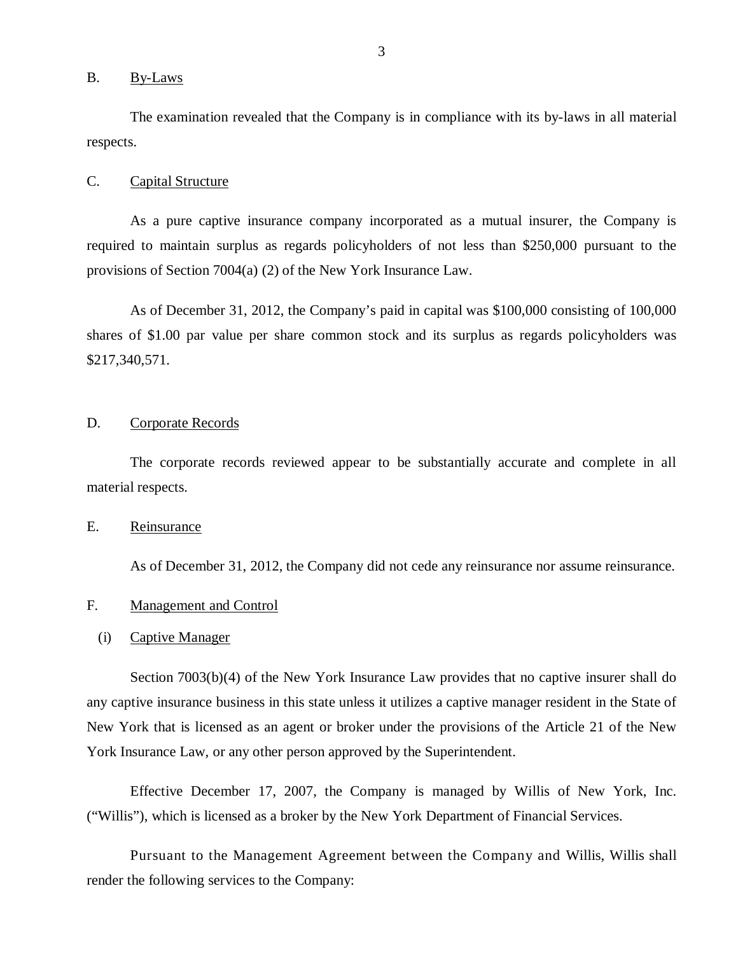## <span id="page-4-0"></span>B. By-Laws

The examination revealed that the Company is in compliance with its by-laws in all material respects.

#### C. Capital Structure

As a pure captive insurance company incorporated as a mutual insurer, the Company is required to maintain surplus as regards policyholders of not less than \$250,000 pursuant to the provisions of Section 7004(a) (2) of the New York Insurance Law.

As of December 31, 2012, the Company's paid in capital was \$100,000 consisting of 100,000 shares of \$1.00 par value per share common stock and its surplus as regards policyholders was \$217,340,571.

## D. Corporate Records

The corporate records reviewed appear to be substantially accurate and complete in all material respects.

## E. Reinsurance

As of December 31, 2012, the Company did not cede any reinsurance nor assume reinsurance.

## F. Management and Control

#### (i) Captive Manager

Section 7003(b)(4) of the New York Insurance Law provides that no captive insurer shall do any captive insurance business in this state unless it utilizes a captive manager resident in the State of New York that is licensed as an agent or broker under the provisions of the Article 21 of the New York Insurance Law, or any other person approved by the Superintendent.

Effective December 17, 2007, the Company is managed by Willis of New York, Inc. ("Willis"), which is licensed as a broker by the New York Department of Financial Services.

Pursuant to the Management Agreement between the Company and Willis, Willis shall render the following services to the Company: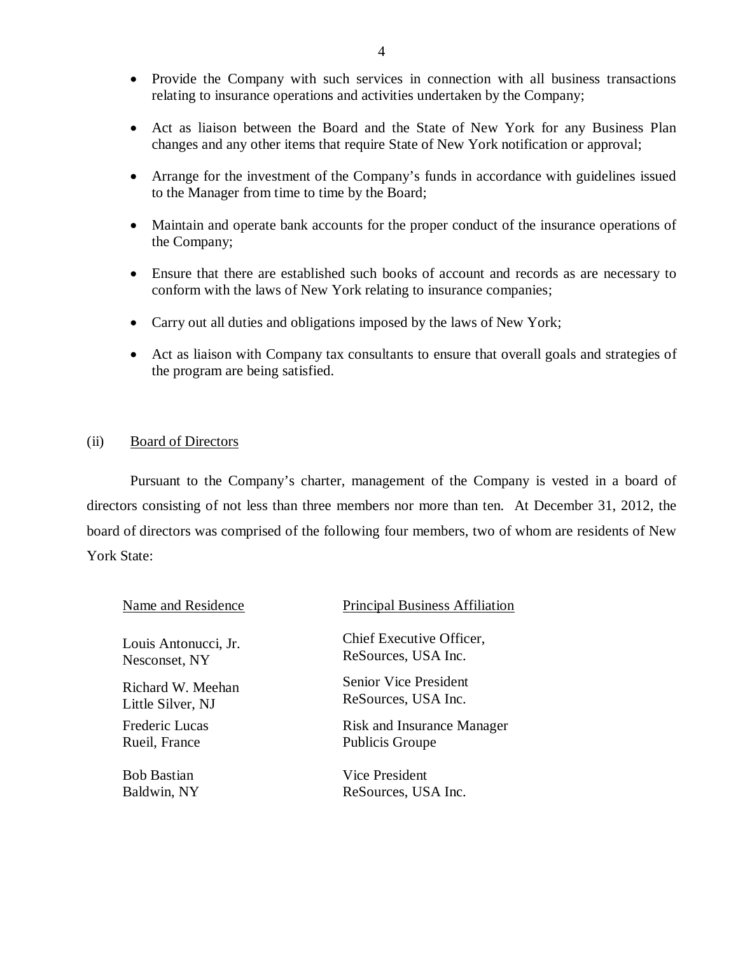- <span id="page-5-0"></span>• Provide the Company with such services in connection with all business transactions relating to insurance operations and activities undertaken by the Company;
- Act as liaison between the Board and the State of New York for any Business Plan changes and any other items that require State of New York notification or approval;
- Arrange for the investment of the Company's funds in accordance with guidelines issued to the Manager from time to time by the Board;
- Maintain and operate bank accounts for the proper conduct of the insurance operations of the Company;
- Ensure that there are established such books of account and records as are necessary to conform with the laws of New York relating to insurance companies;
- Carry out all duties and obligations imposed by the laws of New York;
- Act as liaison with Company tax consultants to ensure that overall goals and strategies of the program are being satisfied.

# (ii) Board of Directors

Pursuant to the Company's charter, management of the Company is vested in a board of directors consisting of not less than three members nor more than ten. At December 31, 2012, the board of directors was comprised of the following four members, two of whom are residents of New York State:

| Name and Residence    | <b>Principal Business Affiliation</b> |
|-----------------------|---------------------------------------|
| Louis Antonucci, Jr.  | Chief Executive Officer,              |
| Nesconset, NY         | ReSources, USA Inc.                   |
| Richard W. Meehan     | <b>Senior Vice President</b>          |
| Little Silver, NJ     | ReSources, USA Inc.                   |
| <b>Frederic Lucas</b> | <b>Risk and Insurance Manager</b>     |
| Rueil, France         | <b>Publicis Groupe</b>                |
| <b>Bob Bastian</b>    | Vice President                        |
| Baldwin, NY           | ReSources, USA Inc.                   |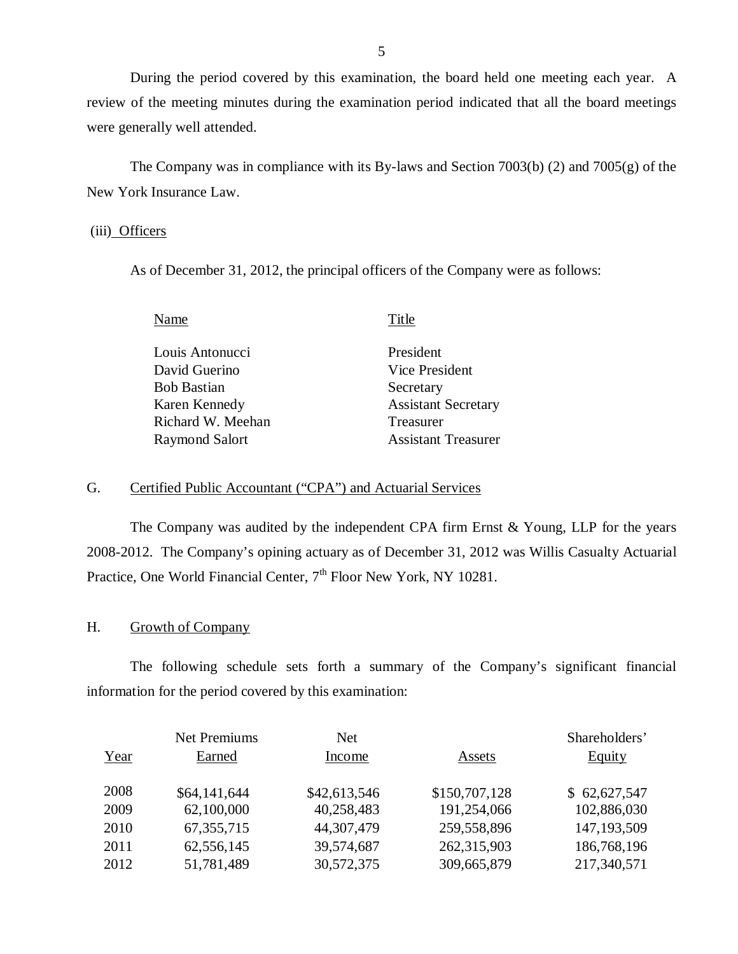During the period covered by this examination, the board held one meeting each year. A review of the meeting minutes during the examination period indicated that all the board meetings were generally well attended.

The Company was in compliance with its By-laws and Section 7003(b) (2) and 7005(g) of the New York Insurance Law.

# (iii) Officers

As of December 31, 2012, the principal officers of the Company were as follows:

| Name                  | Title                      |
|-----------------------|----------------------------|
| Louis Antonucci       | President                  |
| David Guerino         | Vice President             |
| <b>Bob Bastian</b>    | Secretary                  |
| Karen Kennedy         | <b>Assistant Secretary</b> |
| Richard W. Meehan     | Treasurer                  |
| <b>Raymond Salort</b> | <b>Assistant Treasurer</b> |
|                       |                            |

# G. Certified Public Accountant ("CPA") and Actuarial Services

The Company was audited by the independent CPA firm Ernst & Young, LLP for the years 2008-2012. The Company's opining actuary as of December 31, 2012 was Willis Casualty Actuarial Practice, One World Financial Center, 7<sup>th</sup> Floor New York, NY 10281.

# H. Growth of Company

The following schedule sets forth a summary of the Company's significant financial information for the period covered by this examination:

|      | <b>Net Premiums</b> | <b>Net</b>   |               | Shareholders' |
|------|---------------------|--------------|---------------|---------------|
| Year | Earned              | Income       | Assets        | <b>Equity</b> |
|      |                     |              |               |               |
| 2008 | \$64,141,644        | \$42,613,546 | \$150,707,128 | \$62,627,547  |
| 2009 | 62,100,000          | 40,258,483   | 191,254,066   | 102,886,030   |
| 2010 | 67, 355, 715        | 44,307,479   | 259,558,896   | 147, 193, 509 |
| 2011 | 62,556,145          | 39,574,687   | 262,315,903   | 186,768,196   |
| 2012 | 51,781,489          | 30,572,375   | 309,665,879   | 217,340,571   |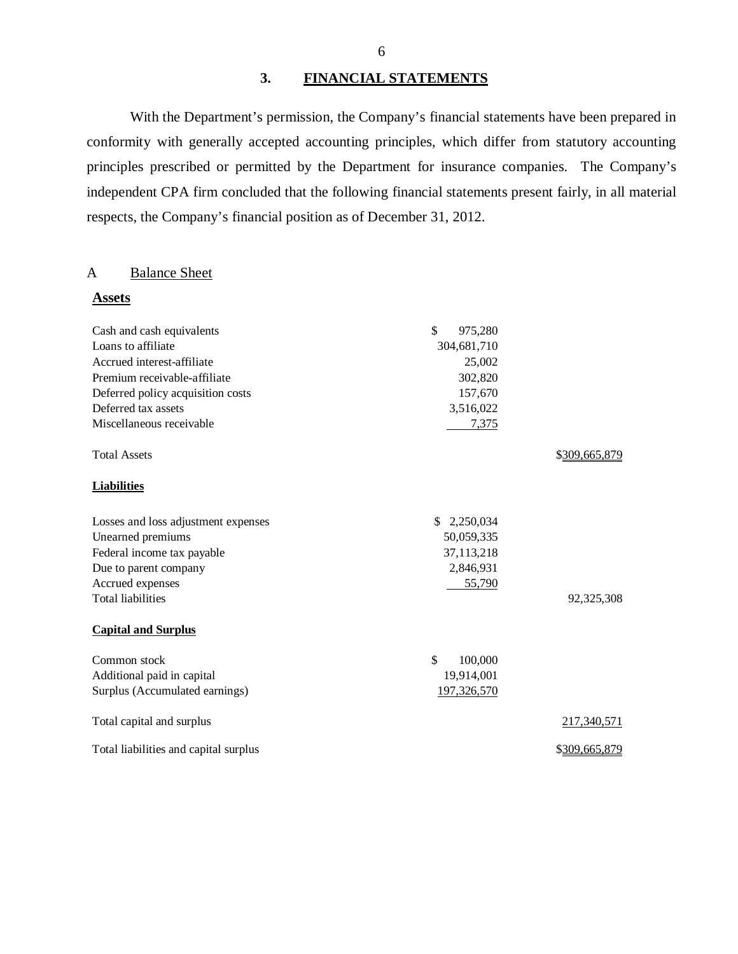# **3. FINANCIAL STATEMENTS**

With the Department's permission, the Company's financial statements have been prepared in conformity with generally accepted accounting principles, which differ from statutory accounting principles prescribed or permitted by the Department for insurance companies. The Company's independent CPA firm concluded that the following financial statements present fairly, in all material respects, the Company's financial position as of December 31, 2012.

# A Balance Sheet

**Assets** 

| Cash and cash equivalents             | \$<br>975,280 |               |
|---------------------------------------|---------------|---------------|
| Loans to affiliate                    | 304,681,710   |               |
| Accrued interest-affiliate            | 25,002        |               |
| Premium receivable-affiliate          | 302,820       |               |
| Deferred policy acquisition costs     | 157,670       |               |
| Deferred tax assets                   | 3,516,022     |               |
| Miscellaneous receivable              | 7,375         |               |
| <b>Total Assets</b>                   |               | \$309,665,879 |
| <b>Liabilities</b>                    |               |               |
| Losses and loss adjustment expenses   | \$2,250,034   |               |
| Unearned premiums                     | 50,059,335    |               |
| Federal income tax payable            | 37,113,218    |               |
| Due to parent company                 | 2,846,931     |               |
| Accrued expenses                      | 55,790        |               |
| <b>Total liabilities</b>              |               | 92,325,308    |
| <b>Capital and Surplus</b>            |               |               |
| Common stock                          | \$<br>100,000 |               |
| Additional paid in capital            | 19,914,001    |               |
| Surplus (Accumulated earnings)        | 197,326,570   |               |
| Total capital and surplus             |               | 217,340,571   |
| Total liabilities and capital surplus |               | \$309,665,879 |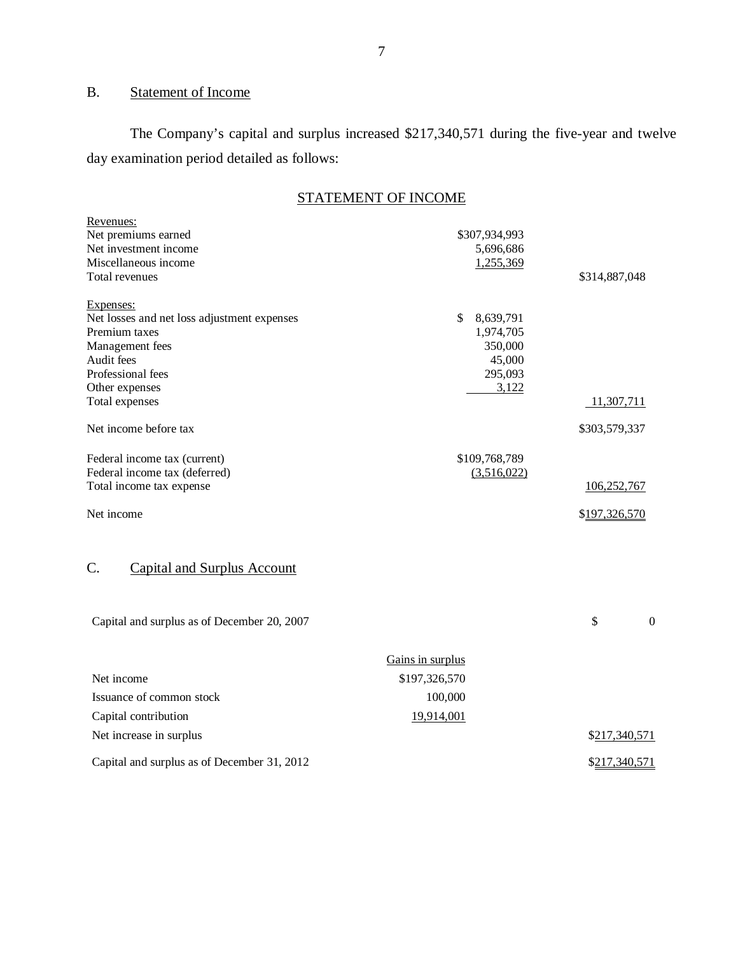# B. Statement of Income

The Company's capital and surplus increased \$217,340,571 during the five-year and twelve day examination period detailed as follows:

|--|

| Revenues:<br>Net premiums earned<br>Net investment income<br>Miscellaneous income<br>Total revenues                                                                 | \$307,934,993<br>5,696,686<br>1,255,369                               | \$314,887,048 |                  |
|---------------------------------------------------------------------------------------------------------------------------------------------------------------------|-----------------------------------------------------------------------|---------------|------------------|
| Expenses:<br>Net losses and net loss adjustment expenses<br>Premium taxes<br>Management fees<br>Audit fees<br>Professional fees<br>Other expenses<br>Total expenses | \$<br>8,639,791<br>1,974,705<br>350,000<br>45,000<br>295,093<br>3,122 | 11,307,711    |                  |
| Net income before tax                                                                                                                                               |                                                                       | \$303,579,337 |                  |
| Federal income tax (current)<br>Federal income tax (deferred)<br>Total income tax expense                                                                           | \$109,768,789<br>(3,516,022)                                          | 106,252,767   |                  |
| Net income                                                                                                                                                          |                                                                       | \$197,326,570 |                  |
| C.<br><b>Capital and Surplus Account</b>                                                                                                                            |                                                                       |               |                  |
| Capital and surplus as of December 20, 2007                                                                                                                         |                                                                       | \$            | $\boldsymbol{0}$ |
| Net income                                                                                                                                                          | Gains in surplus<br>\$197,326,570                                     |               |                  |

| Issuance of common stock                    | 100,000    |               |
|---------------------------------------------|------------|---------------|
| Capital contribution                        | 19.914.001 |               |
| Net increase in surplus                     |            | \$217,340,571 |
| Capital and surplus as of December 31, 2012 |            | \$217,340,571 |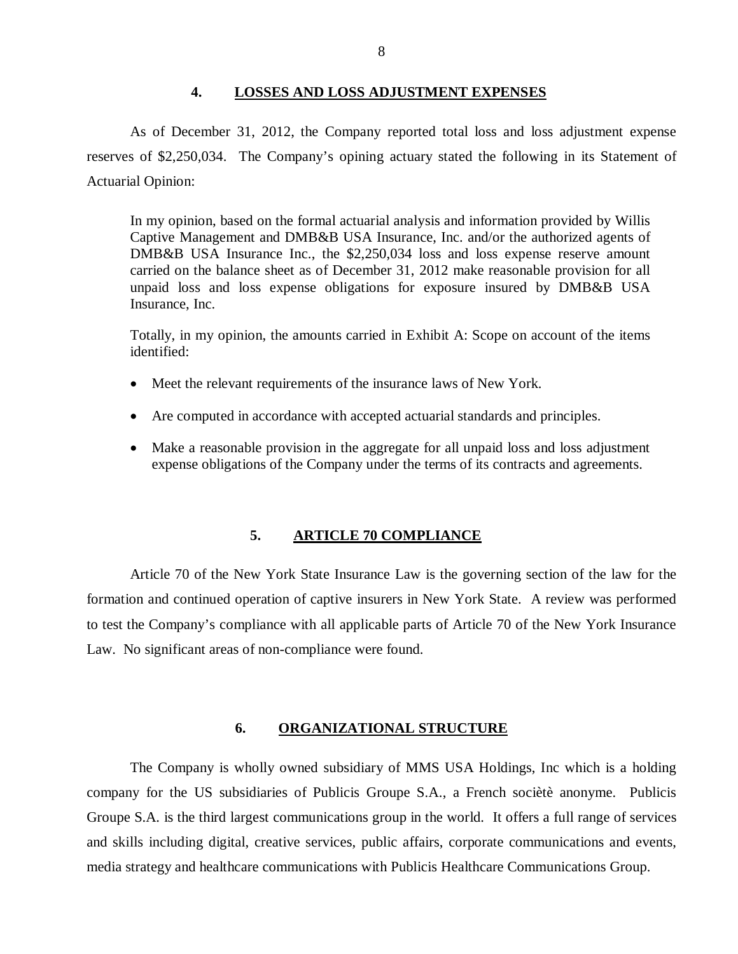#### **4. LOSSES AND LOSS ADJUSTMENT EXPENSES**

<span id="page-9-0"></span>As of December 31, 2012, the Company reported total loss and loss adjustment expense reserves of \$2,250,034. The Company's opining actuary stated the following in its Statement of Actuarial Opinion:

In my opinion, based on the formal actuarial analysis and information provided by Willis Captive Management and DMB&B USA Insurance, Inc. and/or the authorized agents of DMB&B USA Insurance Inc., the \$2,250,034 loss and loss expense reserve amount carried on the balance sheet as of December 31, 2012 make reasonable provision for all unpaid loss and loss expense obligations for exposure insured by DMB&B USA Insurance, Inc.

Totally, in my opinion, the amounts carried in Exhibit A: Scope on account of the items identified:

- Meet the relevant requirements of the insurance laws of New York.
- Are computed in accordance with accepted actuarial standards and principles.
- Make a reasonable provision in the aggregate for all unpaid loss and loss adjustment expense obligations of the Company under the terms of its contracts and agreements.

## **5. ARTICLE 70 COMPLIANCE**

Article 70 of the New York State Insurance Law is the governing section of the law for the formation and continued operation of captive insurers in New York State. A review was performed to test the Company's compliance with all applicable parts of Article 70 of the New York Insurance Law. No significant areas of non-compliance were found.

#### **6. ORGANIZATIONAL STRUCTURE**

The Company is wholly owned subsidiary of MMS USA Holdings, Inc which is a holding company for the US subsidiaries of Publicis Groupe S.A., a French sociètè anonyme. Publicis Groupe S.A. is the third largest communications group in the world. It offers a full range of services and skills including digital, creative services, public affairs, corporate communications and events, media strategy and healthcare communications with Publicis Healthcare Communications Group.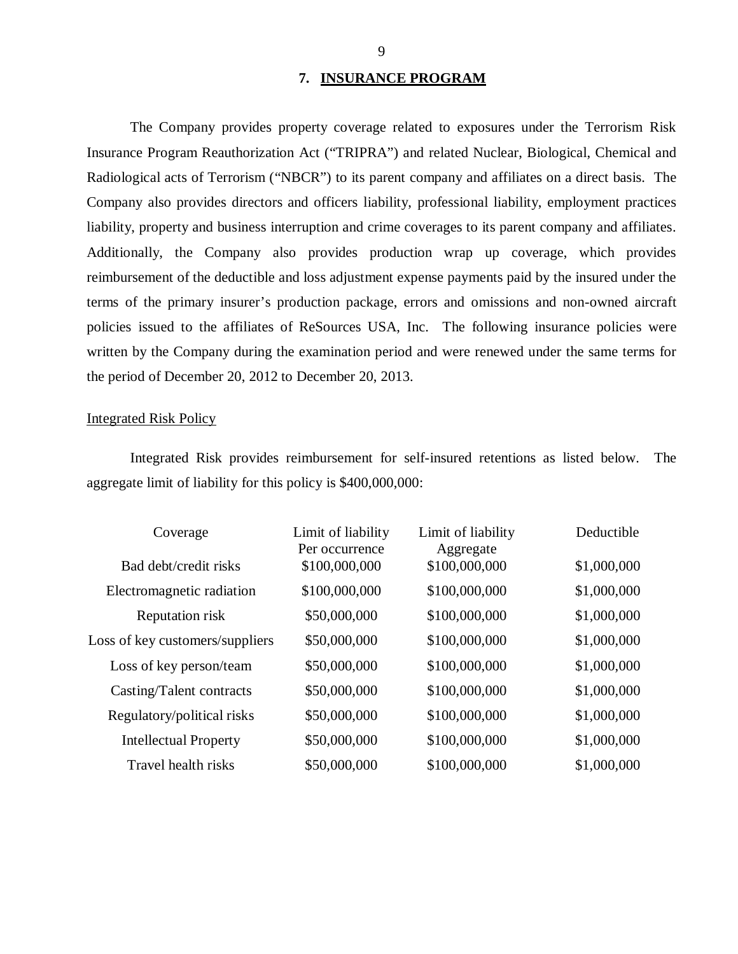#### **7. INSURANCE PROGRAM**

The Company provides property coverage related to exposures under the Terrorism Risk Insurance Program Reauthorization Act ("TRIPRA") and related Nuclear, Biological, Chemical and Radiological acts of Terrorism ("NBCR") to its parent company and affiliates on a direct basis. The Company also provides directors and officers liability, professional liability, employment practices liability, property and business interruption and crime coverages to its parent company and affiliates. Additionally, the Company also provides production wrap up coverage, which provides reimbursement of the deductible and loss adjustment expense payments paid by the insured under the terms of the primary insurer's production package, errors and omissions and non-owned aircraft policies issued to the affiliates of ReSources USA, Inc. The following insurance policies were written by the Company during the examination period and were renewed under the same terms for the period of December 20, 2012 to December 20, 2013.

# Integrated Risk Policy

Integrated Risk provides reimbursement for self-insured retentions as listed below. The aggregate limit of liability for this policy is \$400,000,000:

| Coverage                        | Limit of liability<br>Per occurrence | Limit of liability<br>Aggregate | Deductible  |
|---------------------------------|--------------------------------------|---------------------------------|-------------|
| Bad debt/credit risks           | \$100,000,000                        | \$100,000,000                   | \$1,000,000 |
| Electromagnetic radiation       | \$100,000,000                        | \$100,000,000                   | \$1,000,000 |
| Reputation risk                 | \$50,000,000                         | \$100,000,000                   | \$1,000,000 |
| Loss of key customers/suppliers | \$50,000,000                         | \$100,000,000                   | \$1,000,000 |
| Loss of key person/team         | \$50,000,000                         | \$100,000,000                   | \$1,000,000 |
| Casting/Talent contracts        | \$50,000,000                         | \$100,000,000                   | \$1,000,000 |
| Regulatory/political risks      | \$50,000,000                         | \$100,000,000                   | \$1,000,000 |
| <b>Intellectual Property</b>    | \$50,000,000                         | \$100,000,000                   | \$1,000,000 |
| Travel health risks             | \$50,000,000                         | \$100,000,000                   | \$1,000,000 |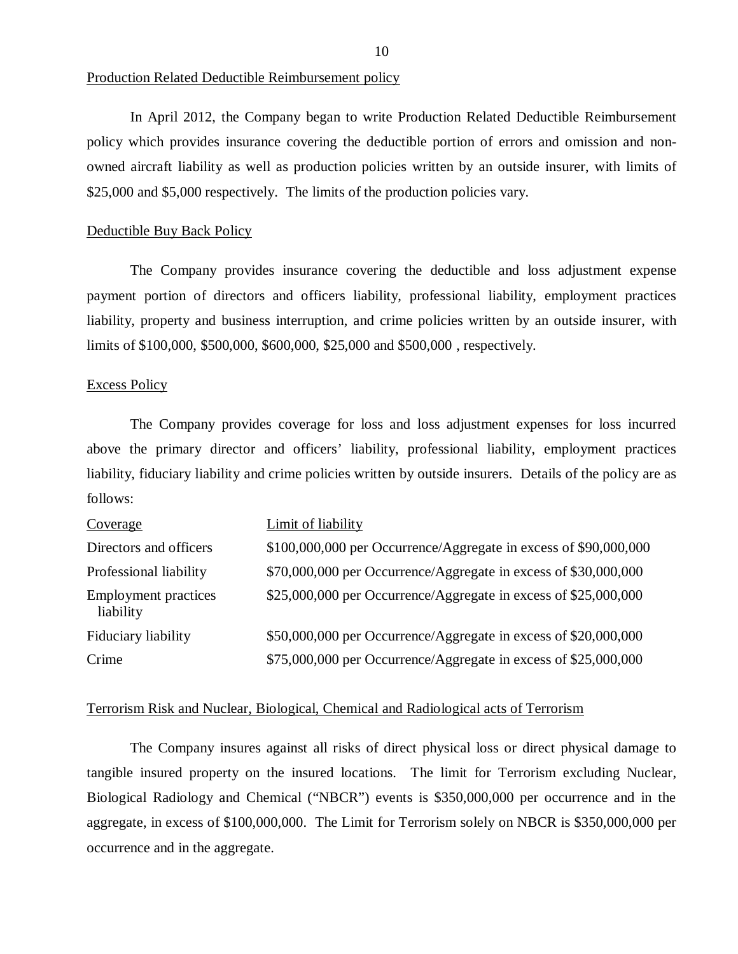Production Related Deductible Reimbursement policy

In April 2012, the Company began to write Production Related Deductible Reimbursement policy which provides insurance covering the deductible portion of errors and omission and nonowned aircraft liability as well as production policies written by an outside insurer, with limits of \$25,000 and \$5,000 respectively. The limits of the production policies vary.

#### Deductible Buy Back Policy

The Company provides insurance covering the deductible and loss adjustment expense payment portion of directors and officers liability, professional liability, employment practices liability, property and business interruption, and crime policies written by an outside insurer, with limits of \$100,000, \$500,000, \$600,000, \$25,000 and \$500,000 , respectively.

#### Excess Policy

The Company provides coverage for loss and loss adjustment expenses for loss incurred above the primary director and officers' liability, professional liability, employment practices liability, fiduciary liability and crime policies written by outside insurers. Details of the policy are as follows:

| Coverage                                 | Limit of liability                                               |
|------------------------------------------|------------------------------------------------------------------|
| Directors and officers                   | \$100,000,000 per Occurrence/Aggregate in excess of \$90,000,000 |
| Professional liability                   | \$70,000,000 per Occurrence/Aggregate in excess of \$30,000,000  |
| <b>Employment practices</b><br>liability | \$25,000,000 per Occurrence/Aggregate in excess of \$25,000,000  |
| Fiduciary liability                      | \$50,000,000 per Occurrence/Aggregate in excess of \$20,000,000  |
| Crime                                    | \$75,000,000 per Occurrence/Aggregate in excess of \$25,000,000  |

#### Terrorism Risk and Nuclear, Biological, Chemical and Radiological acts of Terrorism

The Company insures against all risks of direct physical loss or direct physical damage to tangible insured property on the insured locations. The limit for Terrorism excluding Nuclear, Biological Radiology and Chemical ("NBCR") events is \$350,000,000 per occurrence and in the aggregate, in excess of \$100,000,000. The Limit for Terrorism solely on NBCR is \$350,000,000 per occurrence and in the aggregate.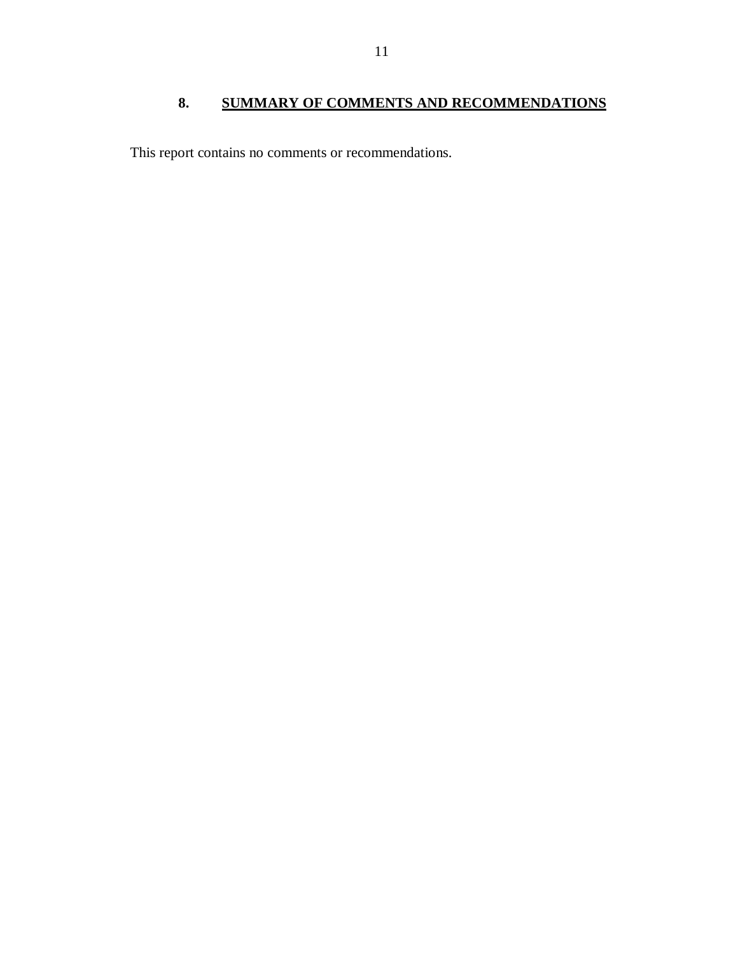# **8. SUMMARY OF COMMENTS AND RECOMMENDATIONS**

<span id="page-12-0"></span>This report contains no comments or recommendations.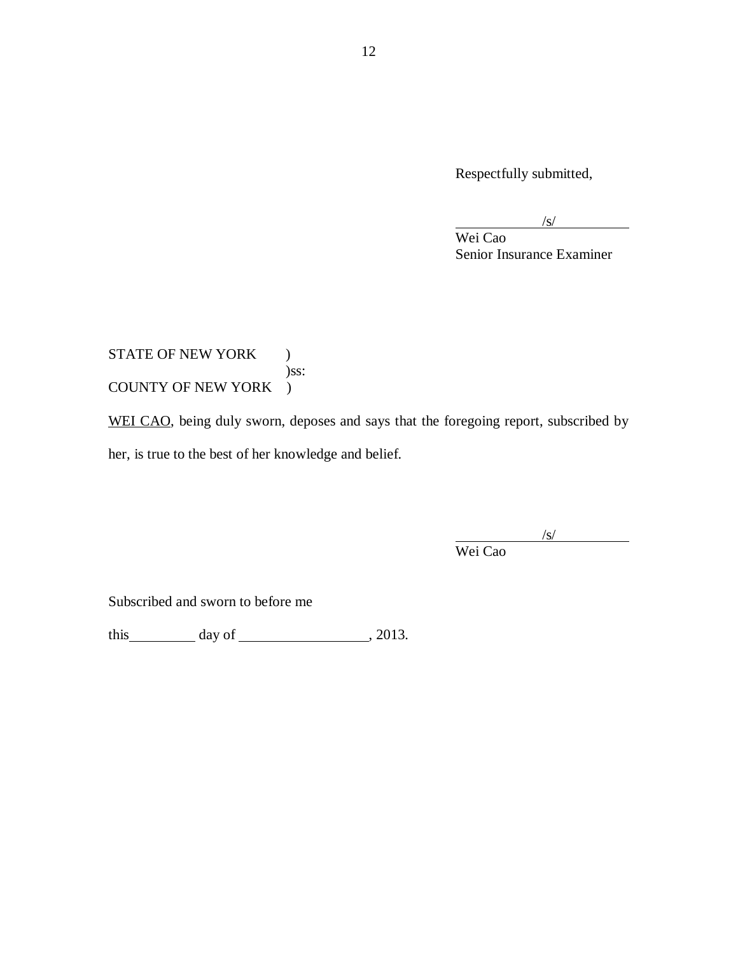Respectfully submitted,

 $\sqrt{s/2}$ 

Wei Cao Senior Insurance Examiner

STATE OF NEW YORK ) )ss: COUNTY OF NEW YORK )

WEI CAO, being duly sworn, deposes and says that the foregoing report, subscribed by her, is true to the best of her knowledge and belief.

/s/

Wei Cao

Subscribed and sworn to before me

this day of , 2013.